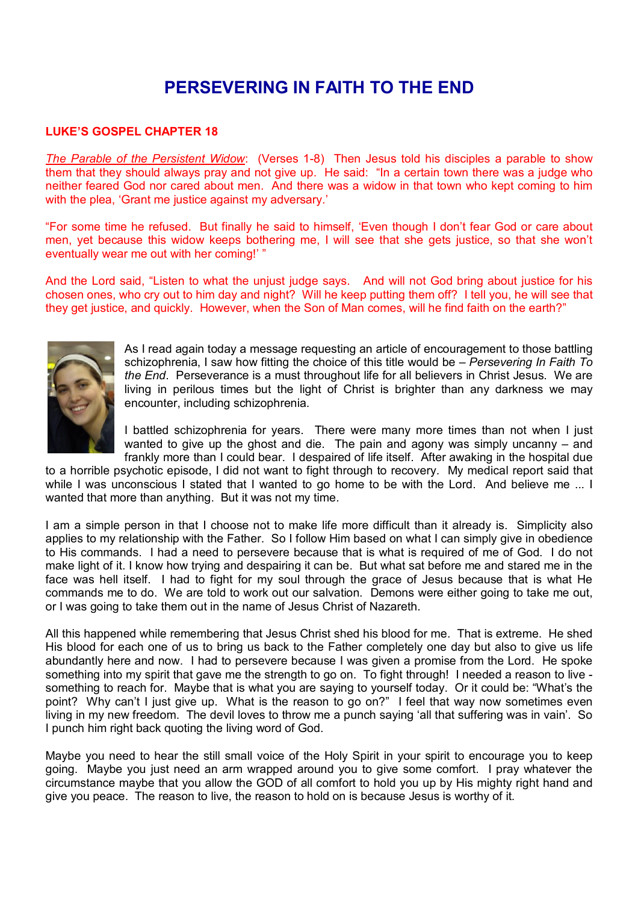## **PERSEVERING IN FAITH TO THE END**

## **LUKE'S GOSPEL CHAPTER 18**

*The Parable of the Persistent Widow*: (Verses 1-8) Then Jesus told his disciples a parable to show them that they should always pray and not give up. He said: "In a certain town there was a judge who neither feared God nor cared about men. And there was a widow in that town who kept coming to him with the plea. 'Grant me justice against my adversary.'

"For some time he refused. But finally he said to himself, 'Even though I don't fear God or care about men, yet because this widow keeps bothering me, I will see that she gets justice, so that she won't eventually wear me out with her coming!' "

And the Lord said, "Listen to what the unjust judge says. And will not God bring about justice for his chosen ones, who cry out to him day and night? Will he keep putting them off? I tell you, he will see that they get justice, and quickly. However, when the Son of Man comes, will he find faith on the earth?"



As I read again today a message requesting an article of encouragement to those battling schizophrenia, I saw how fitting the choice of this title would be – *Persevering In Faith To the End*. Perseverance is a must throughout life for all believers in Christ Jesus. We are living in perilous times but the light of Christ is brighter than any darkness we may encounter, including schizophrenia.

I battled schizophrenia for years. There were many more times than not when I just wanted to give up the ghost and die. The pain and agony was simply uncanny – and frankly more than I could bear. I despaired of life itself. After awaking in the hospital due

to a horrible psychotic episode, I did not want to fight through to recovery. My medical report said that while I was unconscious I stated that I wanted to go home to be with the Lord. And believe me ... I wanted that more than anything. But it was not my time.

I am a simple person in that I choose not to make life more difficult than it already is. Simplicity also applies to my relationship with the Father. So I follow Him based on what I can simply give in obedience to His commands. I had a need to persevere because that is what is required of me of God. I do not make light of it. I know how trying and despairing it can be. But what sat before me and stared me in the face was hell itself. I had to fight for my soul through the grace of Jesus because that is what He commands me to do. We are told to work out our salvation. Demons were either going to take me out, or I was going to take them out in the name of Jesus Christ of Nazareth.

All this happened while remembering that Jesus Christ shed his blood for me. That is extreme. He shed His blood for each one of us to bring us back to the Father completely one day but also to give us life abundantly here and now. I had to persevere because I was given a promise from the Lord. He spoke something into my spirit that gave me the strength to go on. To fight through! I needed a reason to live something to reach for. Maybe that is what you are saying to yourself today. Or it could be: "What's the point? Why can't I just give up. What is the reason to go on?" I feel that way now sometimes even living in my new freedom. The devil loves to throw me a punch saying 'all that suffering was in vain'. So I punch him right back quoting the living word of God.

Maybe you need to hear the still small voice of the Holy Spirit in your spirit to encourage you to keep going. Maybe you just need an arm wrapped around you to give some comfort. I pray whatever the circumstance maybe that you allow the GOD of all comfort to hold you up by His mighty right hand and give you peace. The reason to live, the reason to hold on is because Jesus is worthy of it.